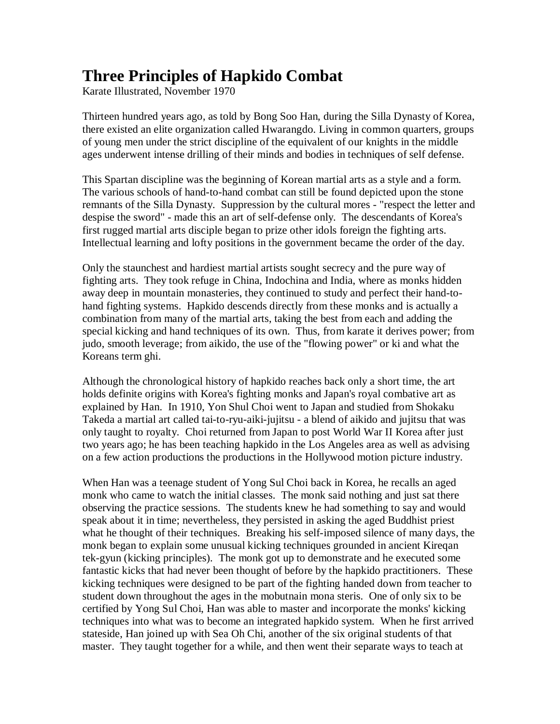## **Three Principles of Hapkido Combat**

Karate Illustrated, November 1970

Thirteen hundred years ago, as told by Bong Soo Han, during the Silla Dynasty of Korea, there existed an elite organization called Hwarangdo. Living in common quarters, groups of young men under the strict discipline of the equivalent of our knights in the middle ages underwent intense drilling of their minds and bodies in techniques of self defense.

This Spartan discipline was the beginning of Korean martial arts as a style and a form. The various schools of hand-to-hand combat can still be found depicted upon the stone remnants of the Silla Dynasty. Suppression by the cultural mores - "respect the letter and despise the sword" - made this an art of self-defense only. The descendants of Korea's first rugged martial arts disciple began to prize other idols foreign the fighting arts. Intellectual learning and lofty positions in the government became the order of the day.

Only the staunchest and hardiest martial artists sought secrecy and the pure way of fighting arts. They took refuge in China, Indochina and India, where as monks hidden away deep in mountain monasteries, they continued to study and perfect their hand-tohand fighting systems. Hapkido descends directly from these monks and is actually a combination from many of the martial arts, taking the best from each and adding the special kicking and hand techniques of its own. Thus, from karate it derives power; from judo, smooth leverage; from aikido, the use of the "flowing power" or ki and what the Koreans term ghi.

Although the chronological history of hapkido reaches back only a short time, the art holds definite origins with Korea's fighting monks and Japan's royal combative art as explained by Han. In 1910, Yon Shul Choi went to Japan and studied from Shokaku Takeda a martial art called tai-to-ryu-aiki-jujitsu - a blend of aikido and jujitsu that was only taught to royalty. Choi returned from Japan to post World War II Korea after just two years ago; he has been teaching hapkido in the Los Angeles area as well as advising on a few action productions the productions in the Hollywood motion picture industry.

When Han was a teenage student of Yong Sul Choi back in Korea, he recalls an aged monk who came to watch the initial classes. The monk said nothing and just sat there observing the practice sessions. The students knew he had something to say and would speak about it in time; nevertheless, they persisted in asking the aged Buddhist priest what he thought of their techniques. Breaking his self-imposed silence of many days, the monk began to explain some unusual kicking techniques grounded in ancient Kireqan tek-gyun (kicking principles). The monk got up to demonstrate and he executed some fantastic kicks that had never been thought of before by the hapkido practitioners. These kicking techniques were designed to be part of the fighting handed down from teacher to student down throughout the ages in the mobutnain mona steris. One of only six to be certified by Yong Sul Choi, Han was able to master and incorporate the monks' kicking techniques into what was to become an integrated hapkido system. When he first arrived stateside, Han joined up with Sea Oh Chi, another of the six original students of that master. They taught together for a while, and then went their separate ways to teach at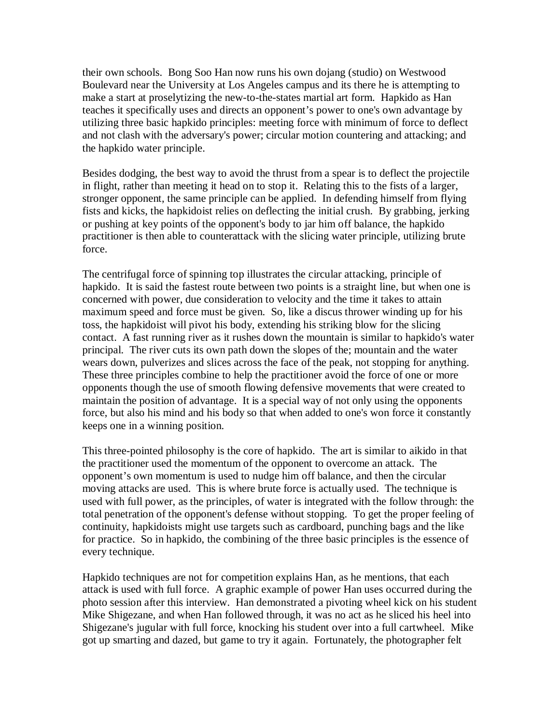their own schools. Bong Soo Han now runs his own dojang (studio) on Westwood Boulevard near the University at Los Angeles campus and its there he is attempting to make a start at proselytizing the new-to-the-states martial art form. Hapkido as Han teaches it specifically uses and directs an opponent's power to one's own advantage by utilizing three basic hapkido principles: meeting force with minimum of force to deflect and not clash with the adversary's power; circular motion countering and attacking; and the hapkido water principle.

Besides dodging, the best way to avoid the thrust from a spear is to deflect the projectile in flight, rather than meeting it head on to stop it. Relating this to the fists of a larger, stronger opponent, the same principle can be applied. In defending himself from flying fists and kicks, the hapkidoist relies on deflecting the initial crush. By grabbing, jerking or pushing at key points of the opponent's body to jar him off balance, the hapkido practitioner is then able to counterattack with the slicing water principle, utilizing brute force.

The centrifugal force of spinning top illustrates the circular attacking, principle of hapkido. It is said the fastest route between two points is a straight line, but when one is concerned with power, due consideration to velocity and the time it takes to attain maximum speed and force must be given. So, like a discus thrower winding up for his toss, the hapkidoist will pivot his body, extending his striking blow for the slicing contact. A fast running river as it rushes down the mountain is similar to hapkido's water principal. The river cuts its own path down the slopes of the; mountain and the water wears down, pulverizes and slices across the face of the peak, not stopping for anything. These three principles combine to help the practitioner avoid the force of one or more opponents though the use of smooth flowing defensive movements that were created to maintain the position of advantage. It is a special way of not only using the opponents force, but also his mind and his body so that when added to one's won force it constantly keeps one in a winning position.

This three-pointed philosophy is the core of hapkido. The art is similar to aikido in that the practitioner used the momentum of the opponent to overcome an attack. The opponent's own momentum is used to nudge him off balance, and then the circular moving attacks are used. This is where brute force is actually used. The technique is used with full power, as the principles, of water is integrated with the follow through: the total penetration of the opponent's defense without stopping. To get the proper feeling of continuity, hapkidoists might use targets such as cardboard, punching bags and the like for practice. So in hapkido, the combining of the three basic principles is the essence of every technique.

Hapkido techniques are not for competition explains Han, as he mentions, that each attack is used with full force. A graphic example of power Han uses occurred during the photo session after this interview. Han demonstrated a pivoting wheel kick on his student Mike Shigezane, and when Han followed through, it was no act as he sliced his heel into Shigezane's jugular with full force, knocking his student over into a full cartwheel. Mike got up smarting and dazed, but game to try it again. Fortunately, the photographer felt